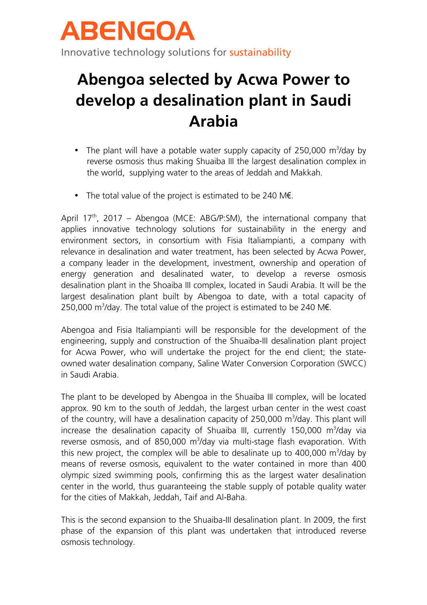

## **Abengoa selected by Acwa Power to develop a desalination plant in Saudi Arabia**

- The plant will have a potable water supply capacity of 250,000  $\text{m}^3$ /day by reverse osmosis thus making Shuaiba III the largest desalination complex in the world, supplying water to the areas of Jeddah and Makkah.
- The total value of the project is estimated to be 240 M€.

April 17<sup>th</sup>, 2017 – Abengoa (MCE: ABG/P:SM), the international company that applies innovative technology solutions for sustainability in the energy and environment sectors, in consortium with Fisia Italiampianti, a company with relevance in desalination and water treatment, has been selected by Acwa Power, a company leader in the development, investment, ownership and operation of energy generation and desalinated water, to develop a reverse osmosis desalination plant in the Shoaiba III complex, located in Saudi Arabia. It will be the largest desalination plant built by Abengoa to date, with a total capacity of 250,000 m<sup>3</sup>/day. The total value of the project is estimated to be 240 ME.

Abengoa and Fisia Italiampianti will be responsible for the development of the engineering, supply and construction of the Shuaiba-III desalination plant project for Acwa Power, who will undertake the project for the end client; the stateowned water desalination company, Saline Water Conversion Corporation (SWCC) in Saudi Arabia.

The plant to be developed by Abengoa in the Shuaiba III complex, will be located approx. 90 km to the south of Jeddah, the largest urban center in the west coast of the country, will have a desalination capacity of 250,000  $m^3$ /day. This plant will increase the desalination capacity of Shuaiba III, currently 150,000 m<sup>3</sup>/day via reverse osmosis, and of 850,000 m<sup>3</sup>/day via multi-stage flash evaporation. With this new project, the complex will be able to desalinate up to  $400,000 \text{ m}^3/\text{day}$  by means of reverse osmosis, equivalent to the water contained in more than 400 olympic sized swimming pools, confirming this as the largest water desalination center in the world, thus guaranteeing the stable supply of potable quality water for the cities of Makkah, Jeddah, Taif and Al-Baha.

This is the second expansion to the Shuaiba-III desalination plant. In 2009, the first phase of the expansion of this plant was undertaken that introduced reverse osmosis technology.